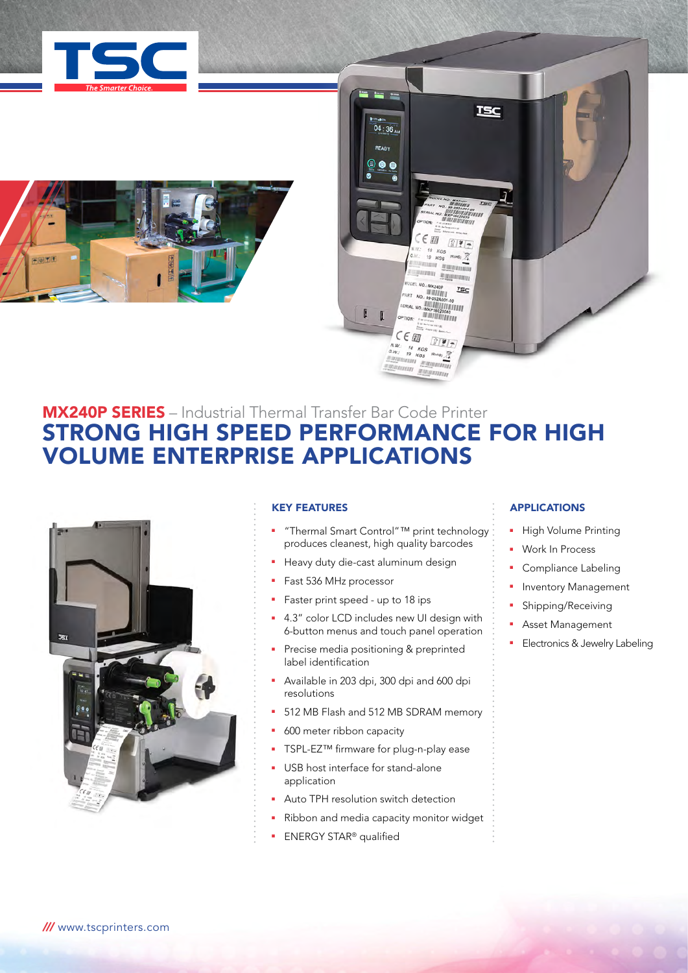





# MX240P SERIES – Industrial Thermal Transfer Bar Code Printer STRONG HIGH SPEED PERFORMANCE FOR HIGH VOLUME ENTERPRISE APPLICATIONS



### KEY FEATURES

- <sup>n</sup> "Thermal Smart Control"™ print technology produces cleanest, high quality barcodes
- **Heavy duty die-cast aluminum design**
- Fast 536 MHz processor
- Faster print speed up to 18 ips
- **4.3"** color LCD includes new UI design with 6-button menus and touch panel operation
- Precise media positioning & preprinted label identification
- <sup>n</sup> Available in 203 dpi, 300 dpi and 600 dpi resolutions
- 512 MB Flash and 512 MB SDRAM memory
- 600 meter ribbon capacity
- TSPL-EZ™ firmware for plug-n-play ease
- USB host interface for stand-alone application
- Auto TPH resolution switch detection
- Ribbon and media capacity monitor widget
- **ENERGY STAR®** qualified

## **APPLICATIONS**

- High Volume Printing
- Work In Process
- **•** Compliance Labeling
- **•** Inventory Management
- Shipping/Receiving
- **Asset Management**
- **Electronics & Jewelry Labeling**